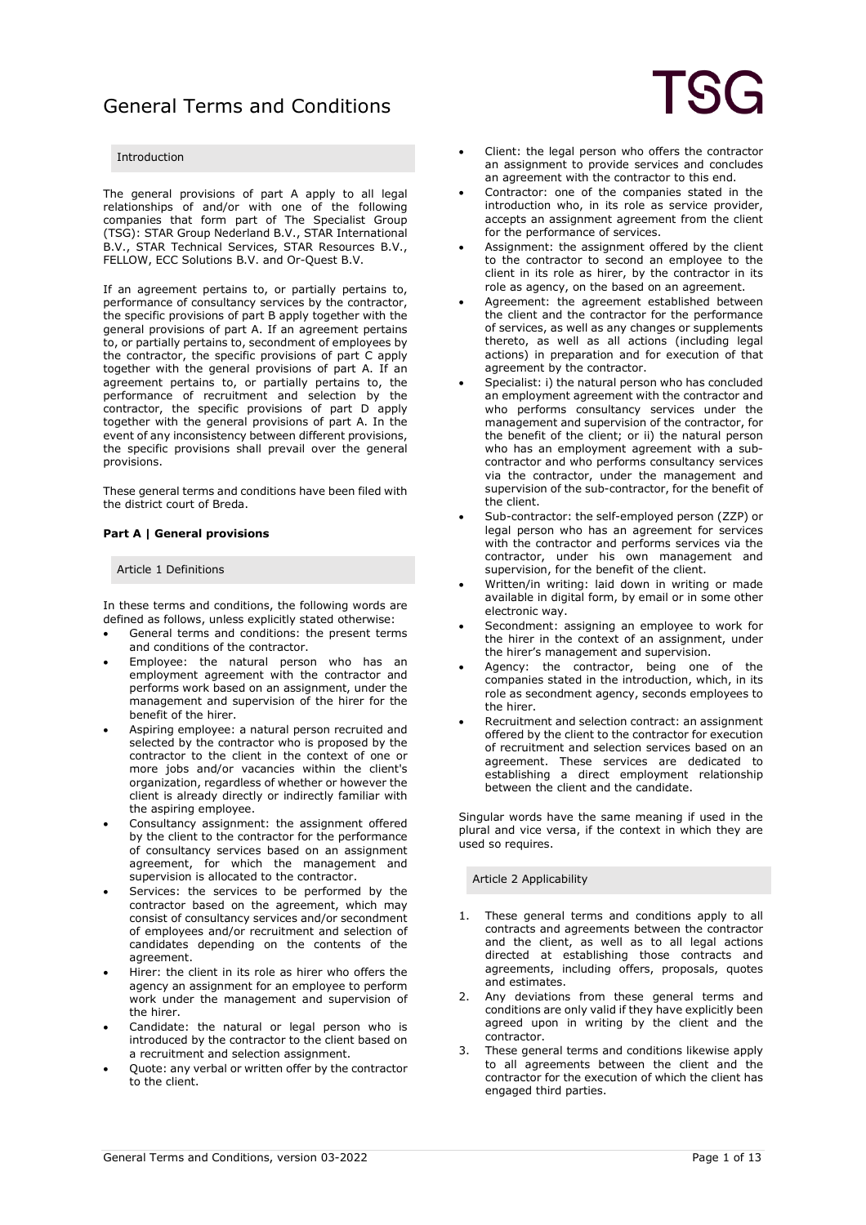### Introduction

The general provisions of part A apply to all legal relationships of and/or with one of the following companies that form part of The Specialist Group (TSG): STAR Group Nederland B.V., STAR International B.V., STAR Technical Services, STAR Resources B.V., FELLOW, ECC Solutions B.V. and Or-Quest B.V.

If an agreement pertains to, or partially pertains to, performance of consultancy services by the contractor, the specific provisions of part B apply together with the general provisions of part A. If an agreement pertains to, or partially pertains to, secondment of employees by the contractor, the specific provisions of part C apply together with the general provisions of part A. If an agreement pertains to, or partially pertains to, the performance of recruitment and selection by the contractor, the specific provisions of part D apply together with the general provisions of part A. In the event of any inconsistency between different provisions, the specific provisions shall prevail over the general provisions.

These general terms and conditions have been filed with the district court of Breda.

### **Part A | General provisions**

### Article 1 Definitions

In these terms and conditions, the following words are defined as follows, unless explicitly stated otherwise:

- General terms and conditions: the present terms and conditions of the contractor.
- Employee: the natural person who has an employment agreement with the contractor and performs work based on an assignment, under the management and supervision of the hirer for the benefit of the hirer.
- Aspiring employee: a natural person recruited and selected by the contractor who is proposed by the contractor to the client in the context of one or more jobs and/or vacancies within the client's organization, regardless of whether or however the client is already directly or indirectly familiar with the aspiring employee.
- Consultancy assignment: the assignment offered by the client to the contractor for the performance of consultancy services based on an assignment agreement, for which the management and supervision is allocated to the contractor.
- Services: the services to be performed by the contractor based on the agreement, which may consist of consultancy services and/or secondment of employees and/or recruitment and selection of candidates depending on the contents of the agreement.
- Hirer: the client in its role as hirer who offers the agency an assignment for an employee to perform work under the management and supervision of the hirer.
- Candidate: the natural or legal person who is introduced by the contractor to the client based on a recruitment and selection assignment.
- Quote: any verbal or written offer by the contractor to the client.
- Client: the legal person who offers the contractor an assignment to provide services and concludes an agreement with the contractor to this end.
- Contractor: one of the companies stated in the introduction who, in its role as service provider, accepts an assignment agreement from the client for the performance of services.
- Assignment: the assignment offered by the client to the contractor to second an employee to the client in its role as hirer, by the contractor in its role as agency, on the based on an agreement.
- Agreement: the agreement established between the client and the contractor for the performance of services, as well as any changes or supplements thereto, as well as all actions (including legal actions) in preparation and for execution of that agreement by the contractor.
- Specialist: i) the natural person who has concluded an employment agreement with the contractor and who performs consultancy services under the management and supervision of the contractor, for the benefit of the client; or ii) the natural person who has an employment agreement with a subcontractor and who performs consultancy services via the contractor, under the management and supervision of the sub-contractor, for the benefit of the client.
- Sub-contractor: the self-employed person (ZZP) or legal person who has an agreement for services with the contractor and performs services via the contractor, under his own management and supervision, for the benefit of the client.
- Written/in writing: laid down in writing or made available in digital form, by email or in some other electronic way.
- Secondment: assigning an employee to work for the hirer in the context of an assignment, under the hirer's management and supervision.
- Agency: the contractor, being one of the companies stated in the introduction, which, in its role as secondment agency, seconds employees to the hirer.
- Recruitment and selection contract: an assignment offered by the client to the contractor for execution of recruitment and selection services based on an agreement. These services are dedicated to establishing a direct employment relationship between the client and the candidate.

Singular words have the same meaning if used in the plural and vice versa, if the context in which they are used so requires.

Article 2 Applicability

- 1. These general terms and conditions apply to all contracts and agreements between the contractor and the client, as well as to all legal actions directed at establishing those contracts and agreements, including offers, proposals, quotes and estimates.
- 2. Any deviations from these general terms and conditions are only valid if they have explicitly been agreed upon in writing by the client and the contractor.
- 3. These general terms and conditions likewise apply to all agreements between the client and the contractor for the execution of which the client has engaged third parties.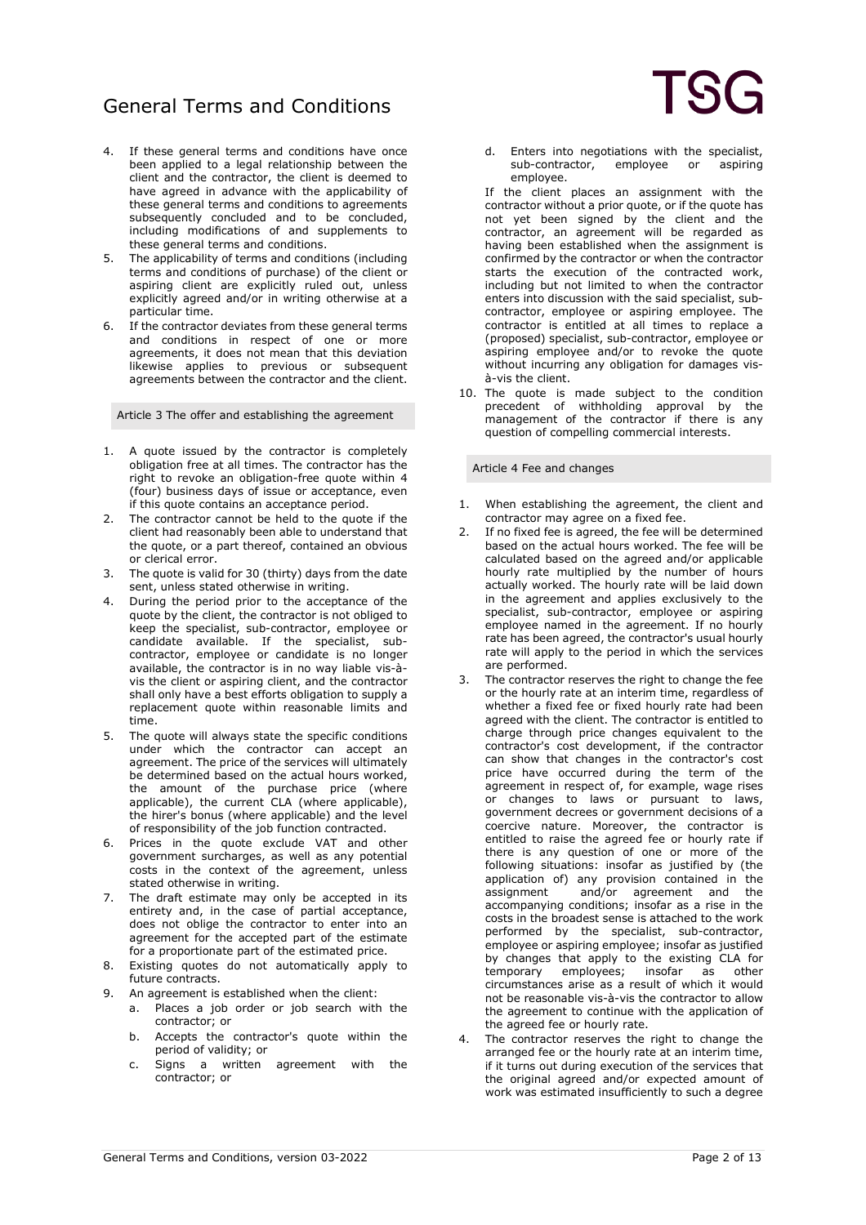- 4. If these general terms and conditions have once been applied to a legal relationship between the client and the contractor, the client is deemed to have agreed in advance with the applicability of these general terms and conditions to agreements subsequently concluded and to be concluded, including modifications of and supplements to these general terms and conditions.
- 5. The applicability of terms and conditions (including terms and conditions of purchase) of the client or aspiring client are explicitly ruled out, unless explicitly agreed and/or in writing otherwise at a particular time.
- 6. If the contractor deviates from these general terms and conditions in respect of one or more agreements, it does not mean that this deviation likewise applies to previous or subsequent agreements between the contractor and the client.

Article 3 The offer and establishing the agreement

- 1. A quote issued by the contractor is completely obligation free at all times. The contractor has the right to revoke an obligation-free quote within 4 (four) business days of issue or acceptance, even if this quote contains an acceptance period.
- 2. The contractor cannot be held to the quote if the client had reasonably been able to understand that the quote, or a part thereof, contained an obvious or clerical error.
- 3. The quote is valid for 30 (thirty) days from the date sent, unless stated otherwise in writing.
- 4. During the period prior to the acceptance of the quote by the client, the contractor is not obliged to keep the specialist, sub-contractor, employee or candidate available. If the specialist, subcontractor, employee or candidate is no longer available, the contractor is in no way liable vis-àvis the client or aspiring client, and the contractor shall only have a best efforts obligation to supply a replacement quote within reasonable limits and time.
- 5. The quote will always state the specific conditions under which the contractor can accept an agreement. The price of the services will ultimately be determined based on the actual hours worked, the amount of the purchase price (where applicable), the current CLA (where applicable), the hirer's bonus (where applicable) and the level of responsibility of the job function contracted.
- 6. Prices in the quote exclude VAT and other government surcharges, as well as any potential costs in the context of the agreement, unless stated otherwise in writing.
- 7. The draft estimate may only be accepted in its entirety and, in the case of partial acceptance, does not oblige the contractor to enter into an agreement for the accepted part of the estimate for a proportionate part of the estimated price.
- 8. Existing quotes do not automatically apply to future contracts.
- 9. An agreement is established when the client:
	- a. Places a job order or job search with the contractor; or
		- b. Accepts the contractor's quote within the period of validity; or
		- c. Signs a written agreement with the contractor; or
- d. Enters into negotiations with the specialist,<br>sub-contractor, employee or aspiring employee or employee.
- If the client places an assignment with the contractor without a prior quote, or if the quote has not yet been signed by the client and the contractor, an agreement will be regarded as having been established when the assignment is confirmed by the contractor or when the contractor starts the execution of the contracted work, including but not limited to when the contractor enters into discussion with the said specialist, subcontractor, employee or aspiring employee. The contractor is entitled at all times to replace a (proposed) specialist, sub-contractor, employee or aspiring employee and/or to revoke the quote without incurring any obligation for damages visà-vis the client.
- 10. The quote is made subject to the condition precedent of withholding approval by the management of the contractor if there is any question of compelling commercial interests.

Article 4 Fee and changes

- When establishing the agreement, the client and contractor may agree on a fixed fee.
- 2. If no fixed fee is agreed, the fee will be determined based on the actual hours worked. The fee will be calculated based on the agreed and/or applicable hourly rate multiplied by the number of hours actually worked. The hourly rate will be laid down in the agreement and applies exclusively to the specialist, sub-contractor, employee or aspiring employee named in the agreement. If no hourly rate has been agreed, the contractor's usual hourly rate will apply to the period in which the services are performed.
- 3. The contractor reserves the right to change the fee or the hourly rate at an interim time, regardless of whether a fixed fee or fixed hourly rate had been agreed with the client. The contractor is entitled to charge through price changes equivalent to the contractor's cost development, if the contractor can show that changes in the contractor's cost price have occurred during the term of the agreement in respect of, for example, wage rises or changes to laws or pursuant to laws, government decrees or government decisions of a coercive nature. Moreover, the contractor is entitled to raise the agreed fee or hourly rate if there is any question of one or more of the following situations: insofar as justified by (the application of) any provision contained in the<br>assignment and/or agreement and the and/or agreement and the accompanying conditions; insofar as a rise in the costs in the broadest sense is attached to the work performed by the specialist, sub-contractor, employee or aspiring employee; insofar as justified by changes that apply to the existing CLA for<br>temporary employees; insofar as other temporary employees; insofar as other circumstances arise as a result of which it would not be reasonable vis-à-vis the contractor to allow the agreement to continue with the application of the agreed fee or hourly rate.
- 4. The contractor reserves the right to change the arranged fee or the hourly rate at an interim time, if it turns out during execution of the services that the original agreed and/or expected amount of work was estimated insufficiently to such a degree

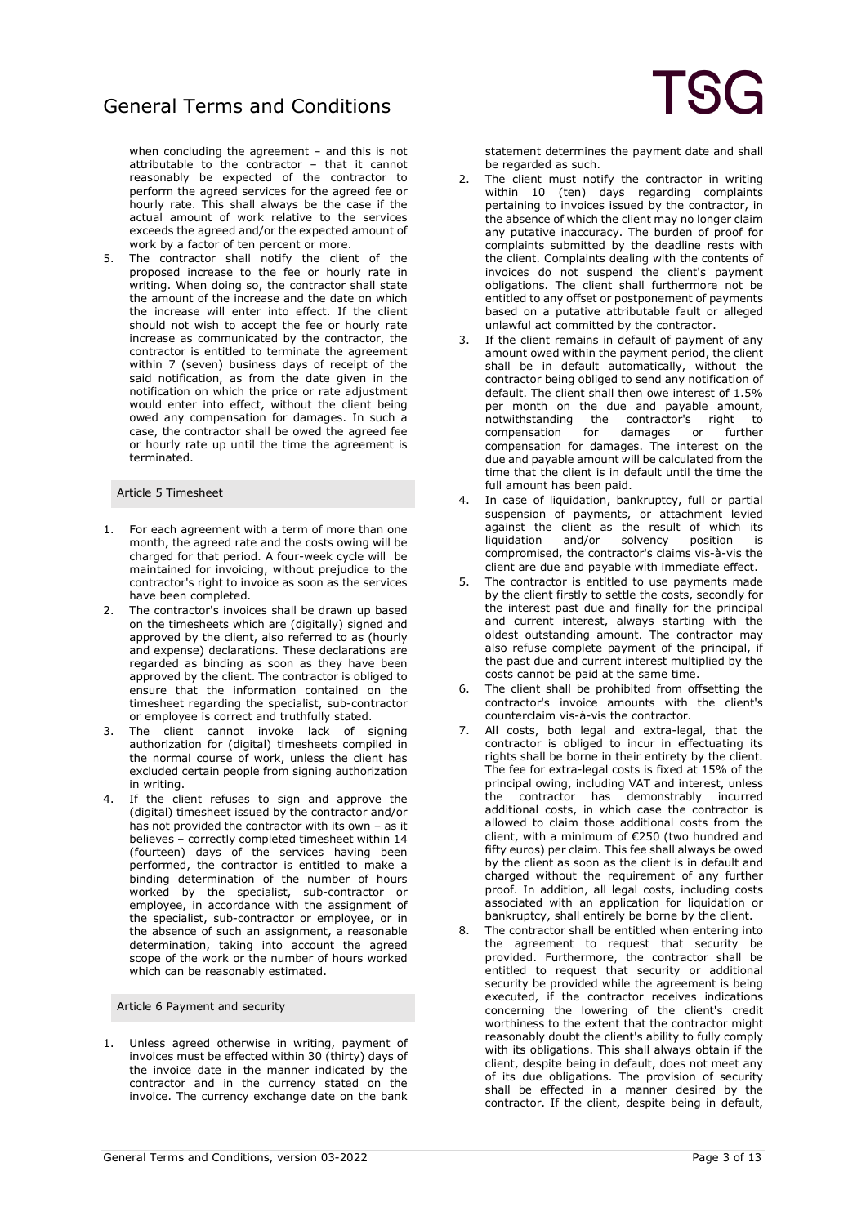when concluding the agreement – and this is not attributable to the contractor  $-$  that it cannot reasonably be expected of the contractor to perform the agreed services for the agreed fee or hourly rate. This shall always be the case if the actual amount of work relative to the services exceeds the agreed and/or the expected amount of work by a factor of ten percent or more.

5. The contractor shall notify the client of the proposed increase to the fee or hourly rate in writing. When doing so, the contractor shall state the amount of the increase and the date on which the increase will enter into effect. If the client should not wish to accept the fee or hourly rate increase as communicated by the contractor, the contractor is entitled to terminate the agreement within 7 (seven) business days of receipt of the said notification, as from the date given in the notification on which the price or rate adjustment would enter into effect, without the client being owed any compensation for damages. In such a case, the contractor shall be owed the agreed fee or hourly rate up until the time the agreement is terminated.

### Article 5 Timesheet

- 1. For each agreement with a term of more than one month, the agreed rate and the costs owing will be charged for that period. A four-week cycle will be maintained for invoicing, without prejudice to the contractor's right to invoice as soon as the services have been completed.
- 2. The contractor's invoices shall be drawn up based on the timesheets which are (digitally) signed and approved by the client, also referred to as (hourly and expense) declarations. These declarations are regarded as binding as soon as they have been approved by the client. The contractor is obliged to ensure that the information contained on the timesheet regarding the specialist, sub-contractor or employee is correct and truthfully stated.
- The client cannot invoke lack of signing authorization for (digital) timesheets compiled in the normal course of work, unless the client has excluded certain people from signing authorization in writing.
- 4. If the client refuses to sign and approve the (digital) timesheet issued by the contractor and/or has not provided the contractor with its own – as it believes – correctly completed timesheet within 14 (fourteen) days of the services having been performed, the contractor is entitled to make a binding determination of the number of hours worked by the specialist, sub-contractor or employee, in accordance with the assignment of the specialist, sub-contractor or employee, or in the absence of such an assignment, a reasonable determination, taking into account the agreed scope of the work or the number of hours worked which can be reasonably estimated.

Article 6 Payment and security

1. Unless agreed otherwise in writing, payment of invoices must be effected within 30 (thirty) days of the invoice date in the manner indicated by the contractor and in the currency stated on the invoice. The currency exchange date on the bank statement determines the payment date and shall be regarded as such.

- 2. The client must notify the contractor in writing within 10 (ten) days regarding complaints pertaining to invoices issued by the contractor, in the absence of which the client may no longer claim any putative inaccuracy. The burden of proof for complaints submitted by the deadline rests with the client. Complaints dealing with the contents of invoices do not suspend the client's payment obligations. The client shall furthermore not be entitled to any offset or postponement of payments based on a putative attributable fault or alleged unlawful act committed by the contractor.
- If the client remains in default of payment of any amount owed within the payment period, the client shall be in default automatically, without the contractor being obliged to send any notification of default. The client shall then owe interest of 1.5% per month on the due and payable amount, notwithstanding the contractor's right to<br>compensation for damages or further compensation compensation for damages. The interest on the due and payable amount will be calculated from the time that the client is in default until the time the full amount has been paid.
- 4. In case of liquidation, bankruptcy, full or partial suspension of payments, or attachment levied against the client as the result of which its<br>liquidation and/or solvency position is liquidation and/or solvency position is compromised, the contractor's claims vis-à-vis the client are due and payable with immediate effect.
- 5. The contractor is entitled to use payments made by the client firstly to settle the costs, secondly for the interest past due and finally for the principal and current interest, always starting with the oldest outstanding amount. The contractor may also refuse complete payment of the principal, if the past due and current interest multiplied by the costs cannot be paid at the same time.
- 6. The client shall be prohibited from offsetting the contractor's invoice amounts with the client's counterclaim vis-à-vis the contractor.
- 7. All costs, both legal and extra-legal, that the contractor is obliged to incur in effectuating its rights shall be borne in their entirety by the client. The fee for extra-legal costs is fixed at 15% of the principal owing, including VAT and interest, unless the contractor has demonstrably incurred additional costs, in which case the contractor is allowed to claim those additional costs from the client, with a minimum of €250 (two hundred and fifty euros) per claim. This fee shall always be owed by the client as soon as the client is in default and charged without the requirement of any further proof. In addition, all legal costs, including costs associated with an application for liquidation or bankruptcy, shall entirely be borne by the client.
- 8. The contractor shall be entitled when entering into the agreement to request that security be provided. Furthermore, the contractor shall be entitled to request that security or additional security be provided while the agreement is being executed, if the contractor receives indications concerning the lowering of the client's credit worthiness to the extent that the contractor might reasonably doubt the client's ability to fully comply with its obligations. This shall always obtain if the client, despite being in default, does not meet any of its due obligations. The provision of security shall be effected in a manner desired by the contractor. If the client, despite being in default,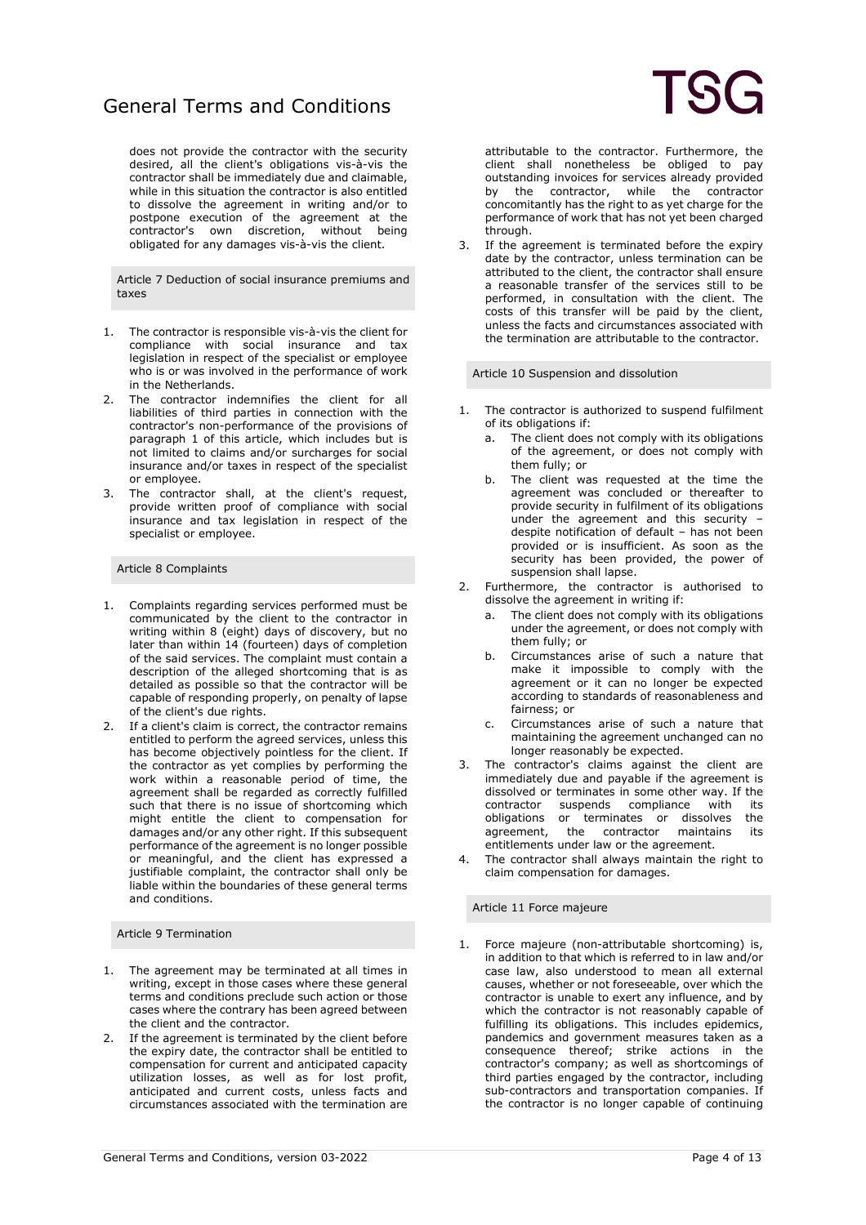does not provide the contractor with the security desired, all the client's obligations vis-à-vis the contractor shall be immediately due and claimable, while in this situation the contractor is also entitled to dissolve the agreement in writing and/or to postpone execution of the agreement at the contractor's own discretion, without being obligated for any damages vis-à-vis the client.

Article 7 Deduction of social insurance premiums and taxes

- 1. The contractor is responsible vis-à-vis the client for compliance with social insurance and tax legislation in respect of the specialist or employee who is or was involved in the performance of work in the Netherlands.
- 2. The contractor indemnifies the client for all liabilities of third parties in connection with the contractor's non-performance of the provisions of paragraph 1 of this article, which includes but is not limited to claims and/or surcharges for social insurance and/or taxes in respect of the specialist or employee.
- 3. The contractor shall, at the client's request, provide written proof of compliance with social insurance and tax legislation in respect of the specialist or employee.

#### Article 8 Complaints

- 1. Complaints regarding services performed must be communicated by the client to the contractor in writing within 8 (eight) days of discovery, but no later than within 14 (fourteen) days of completion of the said services. The complaint must contain a description of the alleged shortcoming that is as detailed as possible so that the contractor will be capable of responding properly, on penalty of lapse of the client's due rights.
- 2. If a client's claim is correct, the contractor remains entitled to perform the agreed services, unless this has become objectively pointless for the client. If the contractor as yet complies by performing the work within a reasonable period of time, the agreement shall be regarded as correctly fulfilled such that there is no issue of shortcoming which might entitle the client to compensation for damages and/or any other right. If this subsequent performance of the agreement is no longer possible or meaningful, and the client has expressed a justifiable complaint, the contractor shall only be liable within the boundaries of these general terms and conditions.

#### Article 9 Termination

- 1. The agreement may be terminated at all times in writing, except in those cases where these general terms and conditions preclude such action or those cases where the contrary has been agreed between the client and the contractor.
- 2. If the agreement is terminated by the client before the expiry date, the contractor shall be entitled to compensation for current and anticipated capacity utilization losses, as well as for lost profit, anticipated and current costs, unless facts and circumstances associated with the termination are

attributable to the contractor. Furthermore, the client shall nonetheless be obliged to pay outstanding invoices for services already provided by the contractor, while the contractor concomitantly has the right to as yet charge for the performance of work that has not yet been charged through.

3. If the agreement is terminated before the expiry date by the contractor, unless termination can be attributed to the client, the contractor shall ensure a reasonable transfer of the services still to be performed, in consultation with the client. The costs of this transfer will be paid by the client, unless the facts and circumstances associated with the termination are attributable to the contractor.

Article 10 Suspension and dissolution

- 1. The contractor is authorized to suspend fulfilment of its obligations if:
	- a. The client does not comply with its obligations of the agreement, or does not comply with them fully; or
	- b. The client was requested at the time the agreement was concluded or thereafter to provide security in fulfilment of its obligations under the agreement and this security – despite notification of default – has not been provided or is insufficient. As soon as the security has been provided, the power of suspension shall lapse.
- 2. Furthermore, the contractor is authorised to dissolve the agreement in writing if:
	- a. The client does not comply with its obligations under the agreement, or does not comply with them fully; or
	- b. Circumstances arise of such a nature that make it impossible to comply with the agreement or it can no longer be expected according to standards of reasonableness and fairness; or
	- c. Circumstances arise of such a nature that maintaining the agreement unchanged can no longer reasonably be expected.
- 3. The contractor's claims against the client are immediately due and payable if the agreement is dissolved or terminates in some other way. If the contractor suspends compliance with its contractor suspends compliance with its<br>obligations or terminates or dissolves the obligations or terminates or dissolves agreement, the contractor maintains its entitlements under law or the agreement.
- 4. The contractor shall always maintain the right to claim compensation for damages.

#### Article 11 Force majeure

1. Force majeure (non-attributable shortcoming) is, in addition to that which is referred to in law and/or case law, also understood to mean all external causes, whether or not foreseeable, over which the contractor is unable to exert any influence, and by which the contractor is not reasonably capable of fulfilling its obligations. This includes epidemics, pandemics and government measures taken as a consequence thereof; strike actions in the contractor's company; as well as shortcomings of third parties engaged by the contractor, including sub-contractors and transportation companies. If the contractor is no longer capable of continuing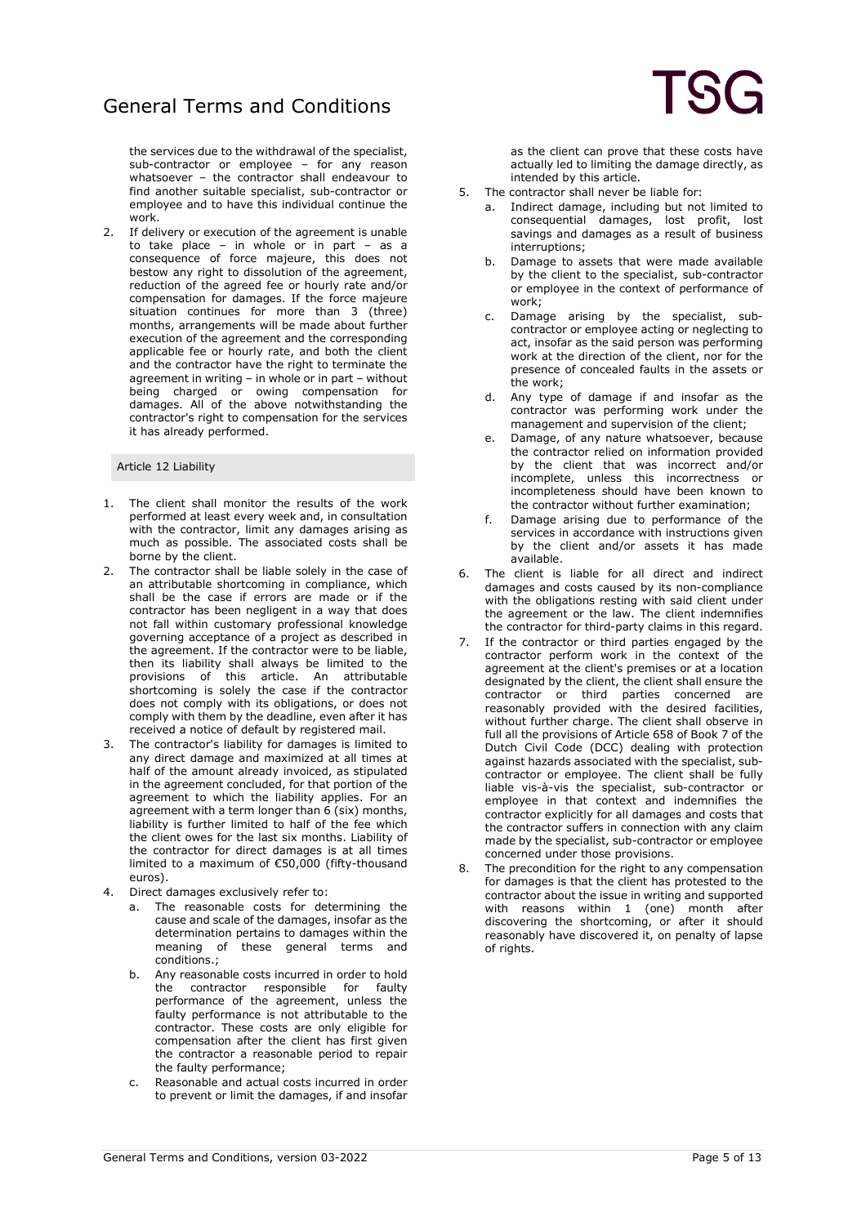the services due to the withdrawal of the specialist, sub-contractor or employee – for any reason whatsoever – the contractor shall endeavour to find another suitable specialist, sub-contractor or employee and to have this individual continue the work.

2. If delivery or execution of the agreement is unable to take place – in whole or in part – as a consequence of force majeure, this does not bestow any right to dissolution of the agreement, reduction of the agreed fee or hourly rate and/or compensation for damages. If the force majeure situation continues for more than 3 (three) months, arrangements will be made about further execution of the agreement and the corresponding applicable fee or hourly rate, and both the client and the contractor have the right to terminate the agreement in writing – in whole or in part – without being charged or owing compensation for damages. All of the above notwithstanding the contractor's right to compensation for the services it has already performed.

#### Article 12 Liability

- 1. The client shall monitor the results of the work performed at least every week and, in consultation with the contractor, limit any damages arising as much as possible. The associated costs shall be borne by the client.
- 2. The contractor shall be liable solely in the case of an attributable shortcoming in compliance, which shall be the case if errors are made or if the contractor has been negligent in a way that does not fall within customary professional knowledge governing acceptance of a project as described in the agreement. If the contractor were to be liable, then its liability shall always be limited to the provisions of this article. An attributable shortcoming is solely the case if the contractor does not comply with its obligations, or does not comply with them by the deadline, even after it has received a notice of default by registered mail.
- 3. The contractor's liability for damages is limited to any direct damage and maximized at all times at half of the amount already invoiced, as stipulated in the agreement concluded, for that portion of the agreement to which the liability applies. For an agreement with a term longer than 6 (six) months, liability is further limited to half of the fee which the client owes for the last six months. Liability of the contractor for direct damages is at all times limited to a maximum of €50,000 (fifty-thousand euros).
- 4. Direct damages exclusively refer to:
	- a. The reasonable costs for determining the cause and scale of the damages, insofar as the determination pertains to damages within the meaning of these general terms and conditions.;
	- b. Any reasonable costs incurred in order to hold<br>the contractor responsible for faulty the contractor responsible for faulty performance of the agreement, unless the faulty performance is not attributable to the contractor. These costs are only eligible for compensation after the client has first given the contractor a reasonable period to repair the faulty performance;
	- c. Reasonable and actual costs incurred in order to prevent or limit the damages, if and insofar

as the client can prove that these costs have actually led to limiting the damage directly, as intended by this article.

- 5. The contractor shall never be liable for:
	- a. Indirect damage, including but not limited to consequential damages, lost profit, lost savings and damages as a result of business interruptions;
	- b. Damage to assets that were made available by the client to the specialist, sub-contractor or employee in the context of performance of work;
	- c. Damage arising by the specialist, subcontractor or employee acting or neglecting to act, insofar as the said person was performing work at the direction of the client, nor for the presence of concealed faults in the assets or the work;
	- d. Any type of damage if and insofar as the contractor was performing work under the management and supervision of the client;
	- e. Damage, of any nature whatsoever, because the contractor relied on information provided by the client that was incorrect and/or incomplete, unless this incorrectness or incompleteness should have been known to the contractor without further examination;
	- f. Damage arising due to performance of the services in accordance with instructions given by the client and/or assets it has made available.
- 6. The client is liable for all direct and indirect damages and costs caused by its non-compliance with the obligations resting with said client under the agreement or the law. The client indemnifies the contractor for third-party claims in this regard.
- If the contractor or third parties engaged by the contractor perform work in the context of the agreement at the client's premises or at a location designated by the client, the client shall ensure the contractor or third parties concerned are reasonably provided with the desired facilities, without further charge. The client shall observe in full all the provisions of Article 658 of Book 7 of the Dutch Civil Code (DCC) dealing with protection against hazards associated with the specialist, subcontractor or employee. The client shall be fully liable vis-à-vis the specialist, sub-contractor or employee in that context and indemnifies the contractor explicitly for all damages and costs that the contractor suffers in connection with any claim made by the specialist, sub-contractor or employee concerned under those provisions.
- 8. The precondition for the right to any compensation for damages is that the client has protested to the contractor about the issue in writing and supported with reasons within 1 (one) month after discovering the shortcoming, or after it should reasonably have discovered it, on penalty of lapse of rights.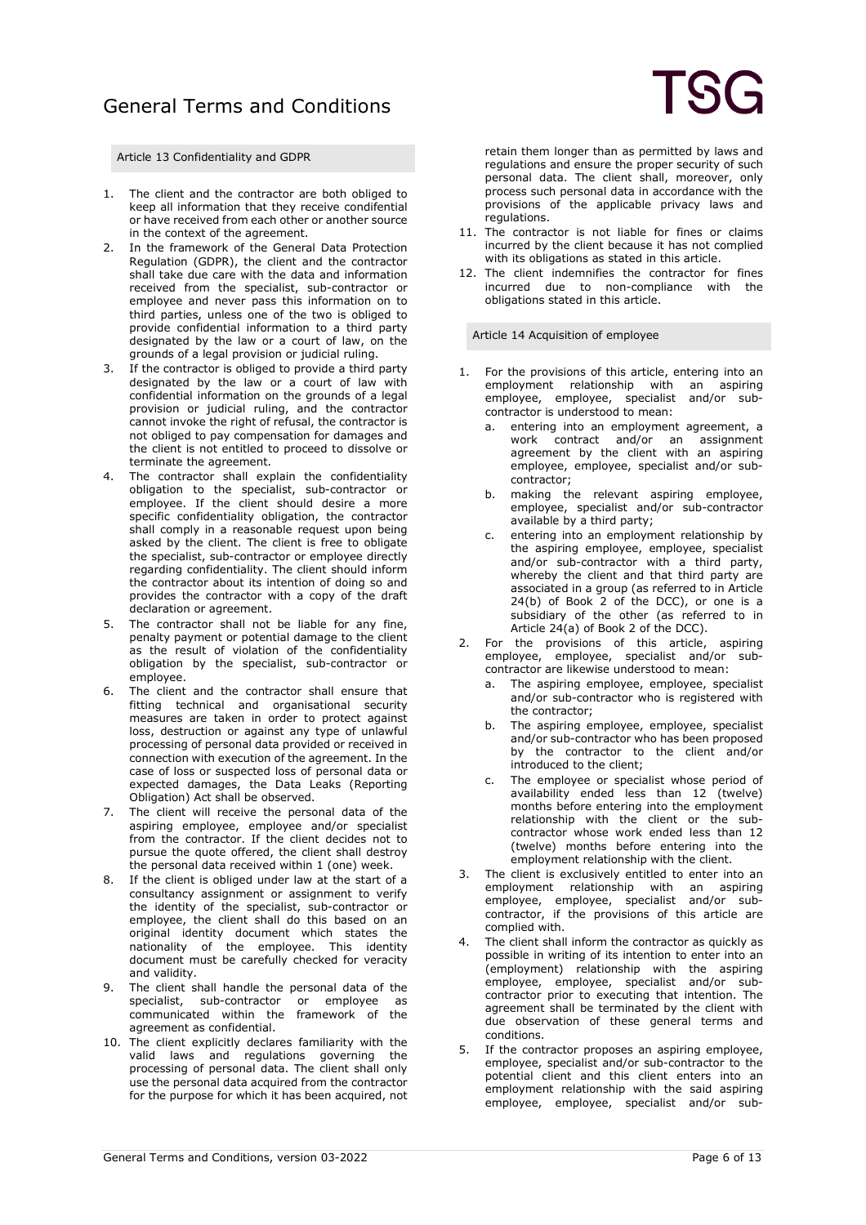Article 13 Confidentiality and GDPR

- 1. The client and the contractor are both obliged to keep all information that they receive condifential or have received from each other or another source in the context of the agreement.
- 2. In the framework of the General Data Protection Regulation (GDPR), the client and the contractor shall take due care with the data and information received from the specialist, sub-contractor or employee and never pass this information on to third parties, unless one of the two is obliged to provide confidential information to a third party designated by the law or a court of law, on the grounds of a legal provision or judicial ruling.
- 3. If the contractor is obliged to provide a third party designated by the law or a court of law with confidential information on the grounds of a legal provision or judicial ruling, and the contractor cannot invoke the right of refusal, the contractor is not obliged to pay compensation for damages and the client is not entitled to proceed to dissolve or terminate the agreement.
- 4. The contractor shall explain the confidentiality obligation to the specialist, sub-contractor or employee. If the client should desire a more specific confidentiality obligation, the contractor shall comply in a reasonable request upon being asked by the client. The client is free to obligate the specialist, sub-contractor or employee directly regarding confidentiality. The client should inform the contractor about its intention of doing so and provides the contractor with a copy of the draft declaration or agreement.
- 5. The contractor shall not be liable for any fine, penalty payment or potential damage to the client as the result of violation of the confidentiality obligation by the specialist, sub-contractor or employee.
- 6. The client and the contractor shall ensure that fitting technical and organisational security measures are taken in order to protect against loss, destruction or against any type of unlawful processing of personal data provided or received in connection with execution of the agreement. In the case of loss or suspected loss of personal data or expected damages, the Data Leaks (Reporting Obligation) Act shall be observed.
- 7. The client will receive the personal data of the aspiring employee, employee and/or specialist from the contractor. If the client decides not to pursue the quote offered, the client shall destroy the personal data received within 1 (one) week.
- 8. If the client is obliged under law at the start of a consultancy assignment or assignment to verify the identity of the specialist, sub-contractor or employee, the client shall do this based on an original identity document which states the nationality of the employee. This identity document must be carefully checked for veracity and validity.
- 9. The client shall handle the personal data of the specialist, sub-contractor or employee as communicated within the framework of the agreement as confidential.
- 10. The client explicitly declares familiarity with the valid laws and regulations governing the processing of personal data. The client shall only use the personal data acquired from the contractor for the purpose for which it has been acquired, not

retain them longer than as permitted by laws and regulations and ensure the proper security of such personal data. The client shall, moreover, only process such personal data in accordance with the provisions of the applicable privacy laws and regulations.

- 11. The contractor is not liable for fines or claims incurred by the client because it has not complied with its obligations as stated in this article.
- 12. The client indemnifies the contractor for fines incurred due to non-compliance with the obligations stated in this article.

Article 14 Acquisition of employee

- 1. For the provisions of this article, entering into an employment relationship with an aspiring employee, employee, specialist and/or subcontractor is understood to mean:
	- a. entering into an employment agreement, a work contract and/or an assignment agreement by the client with an aspiring employee, employee, specialist and/or subcontractor;
	- b. making the relevant aspiring employee, employee, specialist and/or sub-contractor available by a third party;
	- c. entering into an employment relationship by the aspiring employee, employee, specialist and/or sub-contractor with a third party, whereby the client and that third party are associated in a group (as referred to in Article 24(b) of Book 2 of the DCC), or one is a subsidiary of the other (as referred to in Article 24(a) of Book 2 of the DCC).
- 2. For the provisions of this article, aspiring employee, employee, specialist and/or subcontractor are likewise understood to mean:
	- a. The aspiring employee, employee, specialist and/or sub-contractor who is registered with the contractor;
	- b. The aspiring employee, employee, specialist and/or sub-contractor who has been proposed by the contractor to the client and/or introduced to the client;
	- c. The employee or specialist whose period of availability ended less than 12 (twelve) months before entering into the employment relationship with the client or the subcontractor whose work ended less than 12 (twelve) months before entering into the employment relationship with the client.
- 3. The client is exclusively entitled to enter into an employment relationship with an aspiring employee, employee, specialist and/or subcontractor, if the provisions of this article are complied with.
- 4. The client shall inform the contractor as quickly as possible in writing of its intention to enter into an (employment) relationship with the aspiring employee, employee, specialist and/or subcontractor prior to executing that intention. The agreement shall be terminated by the client with due observation of these general terms and conditions.
- 5. If the contractor proposes an aspiring employee, employee, specialist and/or sub-contractor to the potential client and this client enters into an employment relationship with the said aspiring employee, employee, specialist and/or sub-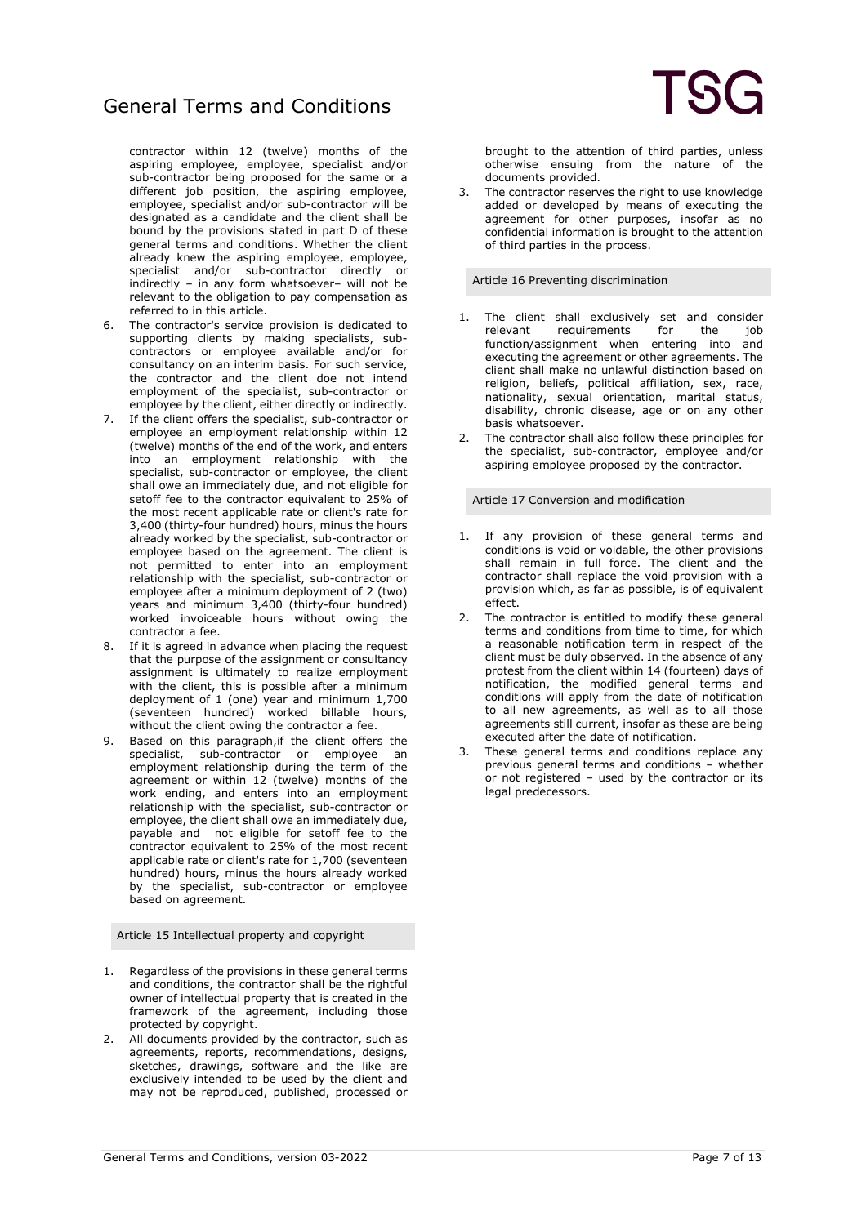contractor within 12 (twelve) months of the aspiring employee, employee, specialist and/or sub-contractor being proposed for the same or a different job position, the aspiring employee, employee, specialist and/or sub-contractor will be designated as a candidate and the client shall be bound by the provisions stated in part D of these general terms and conditions. Whether the client already knew the aspiring employee, employee, specialist and/or sub-contractor directly or indirectly – in any form whatsoever– will not be relevant to the obligation to pay compensation as referred to in this article.

- 6. The contractor's service provision is dedicated to supporting clients by making specialists, subcontractors or employee available and/or for consultancy on an interim basis. For such service, the contractor and the client doe not intend employment of the specialist, sub-contractor or employee by the client, either directly or indirectly.
- 7. If the client offers the specialist, sub-contractor or employee an employment relationship within 12 (twelve) months of the end of the work, and enters into an employment relationship with the specialist, sub-contractor or employee, the client shall owe an immediately due, and not eligible for setoff fee to the contractor equivalent to 25% of the most recent applicable rate or client's rate for 3,400 (thirty-four hundred) hours, minus the hours already worked by the specialist, sub-contractor or employee based on the agreement. The client is not permitted to enter into an employment relationship with the specialist, sub-contractor or employee after a minimum deployment of 2 (two) years and minimum 3,400 (thirty-four hundred) worked invoiceable hours without owing the contractor a fee.
- 8. If it is agreed in advance when placing the request that the purpose of the assignment or consultancy assignment is ultimately to realize employment with the client, this is possible after a minimum deployment of 1 (one) year and minimum 1,700 (seventeen hundred) worked billable hours, without the client owing the contractor a fee.
- 9. Based on this paragraph,if the client offers the specialist, sub-contractor or employee an employment relationship during the term of the agreement or within 12 (twelve) months of the work ending, and enters into an employment relationship with the specialist, sub-contractor or employee, the client shall owe an immediately due, payable and not eligible for setoff fee to the contractor equivalent to 25% of the most recent applicable rate or client's rate for 1,700 (seventeen hundred) hours, minus the hours already worked by the specialist, sub-contractor or employee based on agreement.

Article 15 Intellectual property and copyright

- 1. Regardless of the provisions in these general terms and conditions, the contractor shall be the rightful owner of intellectual property that is created in the framework of the agreement, including those protected by copyright.
- 2. All documents provided by the contractor, such as agreements, reports, recommendations, designs, sketches, drawings, software and the like are exclusively intended to be used by the client and may not be reproduced, published, processed or

brought to the attention of third parties, unless otherwise ensuing from the nature of the documents provided.

The contractor reserves the right to use knowledge added or developed by means of executing the agreement for other purposes, insofar as no confidential information is brought to the attention of third parties in the process.

Article 16 Preventing discrimination

- 1. The client shall exclusively set and consider<br>relevant requirements for the iob requirements for the job<br>ignment when entering into and  $function/assignment$  when entering into executing the agreement or other agreements. The client shall make no unlawful distinction based on religion, beliefs, political affiliation, sex, race, nationality, sexual orientation, marital status, disability, chronic disease, age or on any other basis whatsoever.
- The contractor shall also follow these principles for the specialist, sub-contractor, employee and/or aspiring employee proposed by the contractor.

Article 17 Conversion and modification

- 1. If any provision of these general terms and conditions is void or voidable, the other provisions shall remain in full force. The client and the contractor shall replace the void provision with a provision which, as far as possible, is of equivalent effect.
- 2. The contractor is entitled to modify these general terms and conditions from time to time, for which a reasonable notification term in respect of the client must be duly observed. In the absence of any protest from the client within 14 (fourteen) days of notification, the modified general terms and conditions will apply from the date of notification to all new agreements, as well as to all those agreements still current, insofar as these are being executed after the date of notification.
- 3. These general terms and conditions replace any previous general terms and conditions – whether or not registered – used by the contractor or its legal predecessors.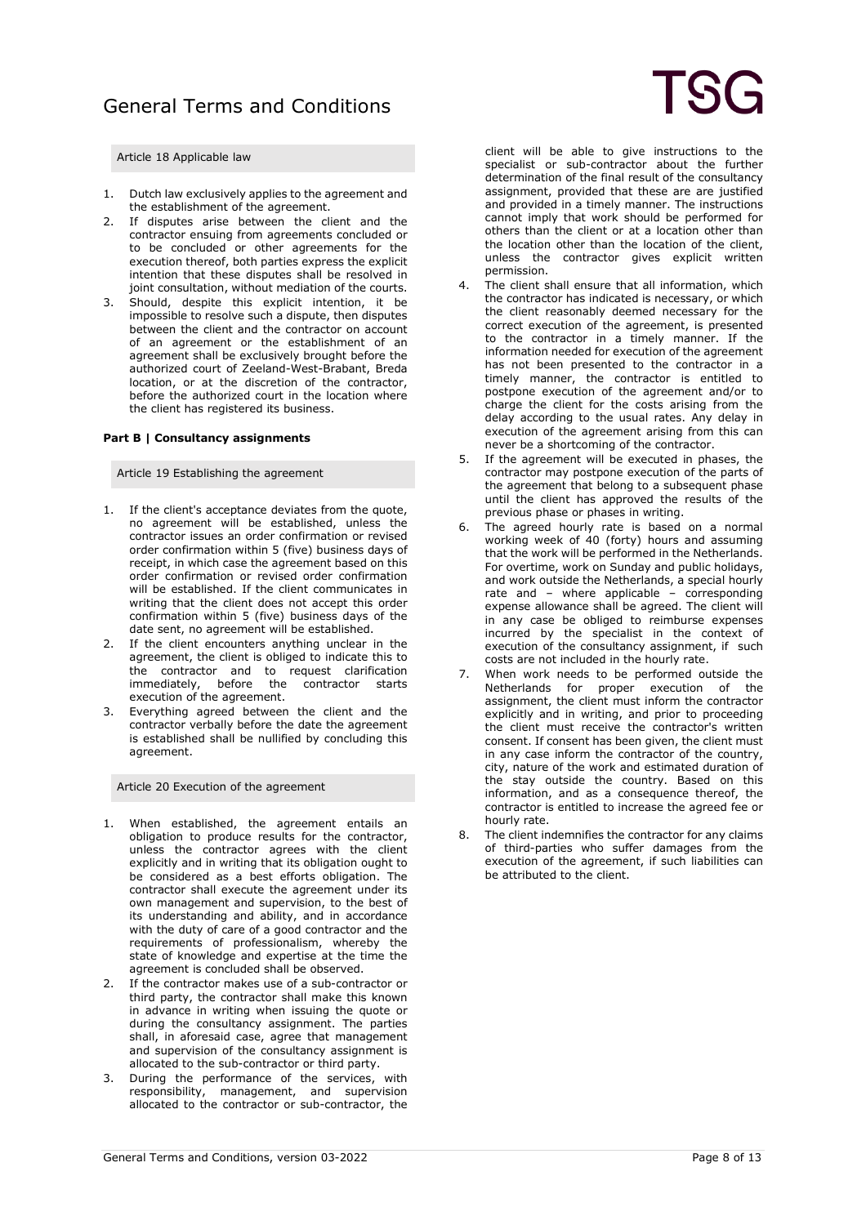### Article 18 Applicable law

- 1. Dutch law exclusively applies to the agreement and the establishment of the agreement.
- 2. If disputes arise between the client and the contractor ensuing from agreements concluded or to be concluded or other agreements for the execution thereof, both parties express the explicit intention that these disputes shall be resolved in joint consultation, without mediation of the courts.
- Should, despite this explicit intention, it be impossible to resolve such a dispute, then disputes between the client and the contractor on account of an agreement or the establishment of an agreement shall be exclusively brought before the authorized court of Zeeland-West-Brabant, Breda location, or at the discretion of the contractor, before the authorized court in the location where the client has registered its business.

### **Part B | Consultancy assignments**

#### Article 19 Establishing the agreement

- 1. If the client's acceptance deviates from the quote, no agreement will be established, unless the contractor issues an order confirmation or revised order confirmation within 5 (five) business days of receipt, in which case the agreement based on this order confirmation or revised order confirmation will be established. If the client communicates in writing that the client does not accept this order confirmation within 5 (five) business days of the date sent, no agreement will be established.
- 2. If the client encounters anything unclear in the agreement, the client is obliged to indicate this to the contractor and to request clarification immediately, before the contractor starts execution of the agreement.
- 3. Everything agreed between the client and the contractor verbally before the date the agreement is established shall be nullified by concluding this agreement.

Article 20 Execution of the agreement

- 1. When established, the agreement entails an obligation to produce results for the contractor, unless the contractor agrees with the client explicitly and in writing that its obligation ought to be considered as a best efforts obligation. The contractor shall execute the agreement under its own management and supervision, to the best of its understanding and ability, and in accordance with the duty of care of a good contractor and the requirements of professionalism, whereby the state of knowledge and expertise at the time the agreement is concluded shall be observed.
- 2. If the contractor makes use of a sub-contractor or third party, the contractor shall make this known in advance in writing when issuing the quote or during the consultancy assignment. The parties shall, in aforesaid case, agree that management and supervision of the consultancy assignment is allocated to the sub-contractor or third party.
- 3. During the performance of the services, with responsibility, management, and supervision allocated to the contractor or sub-contractor, the

client will be able to give instructions to the specialist or sub-contractor about the further determination of the final result of the consultancy assignment, provided that these are are justified and provided in a timely manner. The instructions cannot imply that work should be performed for others than the client or at a location other than the location other than the location of the client, unless the contractor gives explicit written permission.

- 4. The client shall ensure that all information, which the contractor has indicated is necessary, or which the client reasonably deemed necessary for the correct execution of the agreement, is presented to the contractor in a timely manner. If the information needed for execution of the agreement has not been presented to the contractor in a timely manner, the contractor is entitled to postpone execution of the agreement and/or to charge the client for the costs arising from the delay according to the usual rates. Any delay in execution of the agreement arising from this can never be a shortcoming of the contractor.
- 5. If the agreement will be executed in phases, the contractor may postpone execution of the parts of the agreement that belong to a subsequent phase until the client has approved the results of the previous phase or phases in writing.
- The agreed hourly rate is based on a normal working week of 40 (forty) hours and assuming that the work will be performed in the Netherlands. For overtime, work on Sunday and public holidays, and work outside the Netherlands, a special hourly rate and – where applicable – corresponding expense allowance shall be agreed. The client will in any case be obliged to reimburse expenses incurred by the specialist in the context of execution of the consultancy assignment, if such costs are not included in the hourly rate.
- When work needs to be performed outside the Netherlands for proper execution of the assignment, the client must inform the contractor explicitly and in writing, and prior to proceeding the client must receive the contractor's written consent. If consent has been given, the client must in any case inform the contractor of the country, city, nature of the work and estimated duration of the stay outside the country. Based on this information, and as a consequence thereof, the contractor is entitled to increase the agreed fee or hourly rate.
- 8. The client indemnifies the contractor for any claims of third-parties who suffer damages from the execution of the agreement, if such liabilities can be attributed to the client.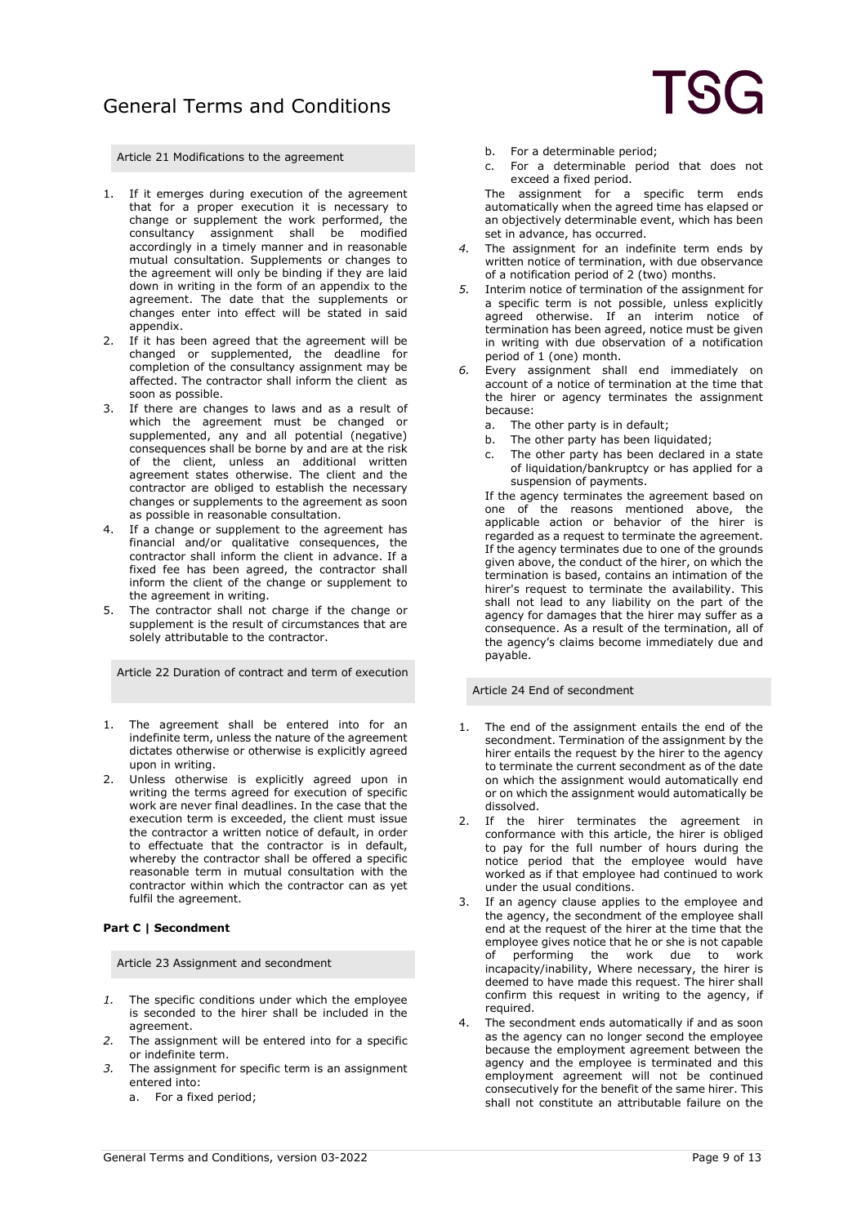

Article 21 Modifications to the agreement

- 1. If it emerges during execution of the agreement that for a proper execution it is necessary to change or supplement the work performed, the consultancy assignment shall be modified accordingly in a timely manner and in reasonable mutual consultation. Supplements or changes to the agreement will only be binding if they are laid down in writing in the form of an appendix to the agreement. The date that the supplements or changes enter into effect will be stated in said appendix.
- 2. If it has been agreed that the agreement will be changed or supplemented, the deadline for completion of the consultancy assignment may be affected. The contractor shall inform the client as soon as possible.
- 3. If there are changes to laws and as a result of which the agreement must be changed or supplemented, any and all potential (negative) consequences shall be borne by and are at the risk of the client, unless an additional written agreement states otherwise. The client and the contractor are obliged to establish the necessary changes or supplements to the agreement as soon as possible in reasonable consultation.
- 4. If a change or supplement to the agreement has financial and/or qualitative consequences, the contractor shall inform the client in advance. If a fixed fee has been agreed, the contractor shall inform the client of the change or supplement to the agreement in writing.
- 5. The contractor shall not charge if the change or supplement is the result of circumstances that are solely attributable to the contractor.

Article 22 Duration of contract and term of execution

- 1. The agreement shall be entered into for an indefinite term, unless the nature of the agreement dictates otherwise or otherwise is explicitly agreed upon in writing.
- 2. Unless otherwise is explicitly agreed upon in writing the terms agreed for execution of specific work are never final deadlines. In the case that the execution term is exceeded, the client must issue the contractor a written notice of default, in order to effectuate that the contractor is in default, whereby the contractor shall be offered a specific reasonable term in mutual consultation with the contractor within which the contractor can as yet fulfil the agreement.

#### **Part C | Secondment**

Article 23 Assignment and secondment

- *1.* The specific conditions under which the employee is seconded to the hirer shall be included in the agreement.
- *2.* The assignment will be entered into for a specific or indefinite term.
- *3.* The assignment for specific term is an assignment entered into:
	- a. For a fixed period;
- b. For a determinable period;
- c. For a determinable period that does not exceed a fixed period.

The assignment for a specific term ends automatically when the agreed time has elapsed or an objectively determinable event, which has been set in advance, has occurred.

- *4.* The assignment for an indefinite term ends by written notice of termination, with due observance of a notification period of 2 (two) months.
- *5.* Interim notice of termination of the assignment for a specific term is not possible, unless explicitly agreed otherwise. If an interim notice of termination has been agreed, notice must be given in writing with due observation of a notification period of 1 (one) month.
- *6.* Every assignment shall end immediately on account of a notice of termination at the time that the hirer or agency terminates the assignment because:
	- a. The other party is in default;
	- b. The other party has been liquidated;
	- c. The other party has been declared in a state of liquidation/bankruptcy or has applied for a suspension of payments.

If the agency terminates the agreement based on one of the reasons mentioned above, the applicable action or behavior of the hirer is regarded as a request to terminate the agreement. If the agency terminates due to one of the grounds given above, the conduct of the hirer, on which the termination is based, contains an intimation of the hirer's request to terminate the availability. This shall not lead to any liability on the part of the agency for damages that the hirer may suffer as a consequence. As a result of the termination, all of the agency's claims become immediately due and payable.

Article 24 End of secondment

- 1. The end of the assignment entails the end of the secondment. Termination of the assignment by the hirer entails the request by the hirer to the agency to terminate the current secondment as of the date on which the assignment would automatically end or on which the assignment would automatically be dissolved.
- 2. If the hirer terminates the agreement in conformance with this article, the hirer is obliged to pay for the full number of hours during the notice period that the employee would have worked as if that employee had continued to work under the usual conditions.
- If an agency clause applies to the employee and the agency, the secondment of the employee shall end at the request of the hirer at the time that the employee gives notice that he or she is not capable of performing the work due to work incapacity/inability, Where necessary, the hirer is deemed to have made this request. The hirer shall confirm this request in writing to the agency, if required.
- 4. The secondment ends automatically if and as soon as the agency can no longer second the employee because the employment agreement between the agency and the employee is terminated and this employment agreement will not be continued consecutively for the benefit of the same hirer. This shall not constitute an attributable failure on the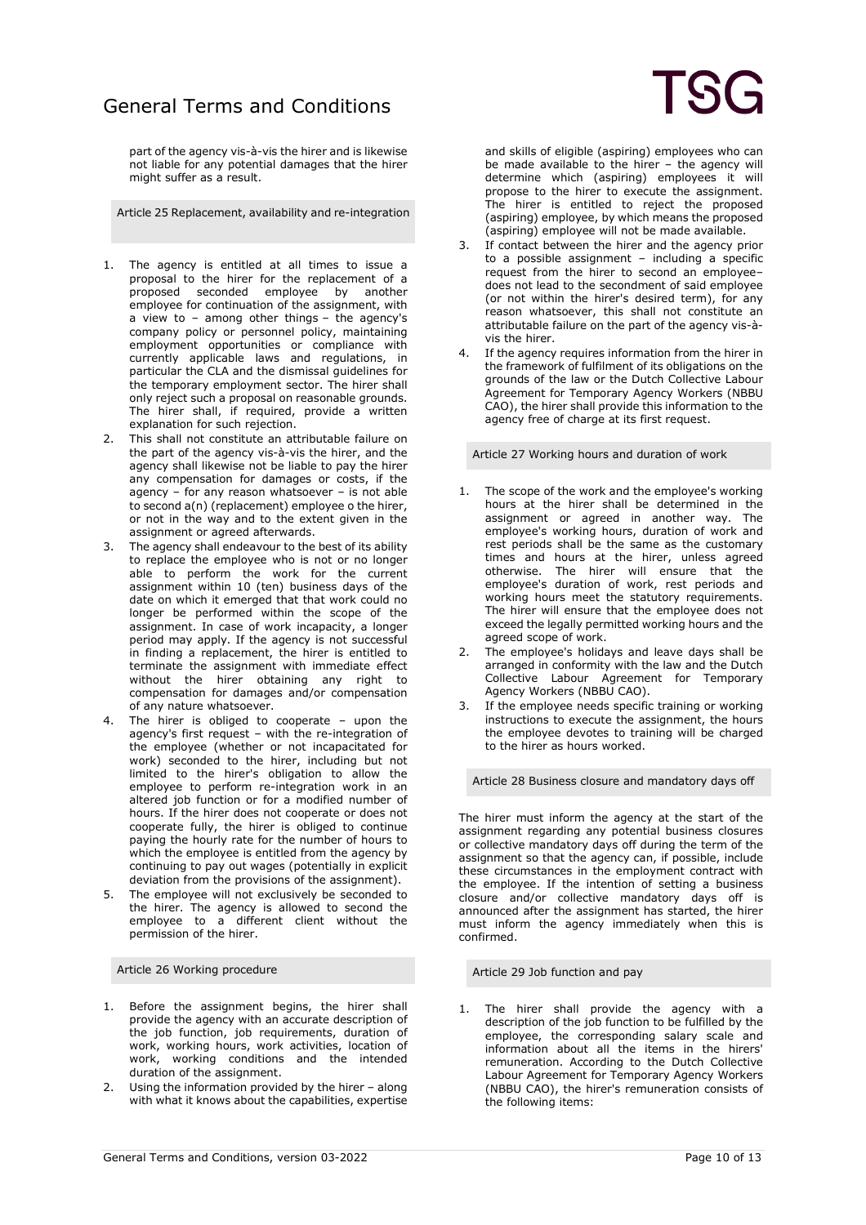part of the agency vis-à-vis the hirer and is likewise not liable for any potential damages that the hirer might suffer as a result.

Article 25 Replacement, availability and re-integration

- 1. The agency is entitled at all times to issue a proposal to the hirer for the replacement of a proposed seconded employee by another employee for continuation of the assignment, with a view to – among other things – the agency's company policy or personnel policy, maintaining employment opportunities or compliance with currently applicable laws and regulations, in particular the CLA and the dismissal guidelines for the temporary employment sector. The hirer shall only reject such a proposal on reasonable grounds. The hirer shall, if required, provide a written explanation for such rejection.
- 2. This shall not constitute an attributable failure on the part of the agency vis-à-vis the hirer, and the agency shall likewise not be liable to pay the hirer any compensation for damages or costs, if the agency – for any reason whatsoever – is not able to second a(n) (replacement) employee o the hirer, or not in the way and to the extent given in the assignment or agreed afterwards.
- 3. The agency shall endeavour to the best of its ability to replace the employee who is not or no longer able to perform the work for the current assignment within 10 (ten) business days of the date on which it emerged that that work could no longer be performed within the scope of the assignment. In case of work incapacity, a longer period may apply. If the agency is not successful in finding a replacement, the hirer is entitled to terminate the assignment with immediate effect without the hirer obtaining any right to compensation for damages and/or compensation of any nature whatsoever.
- 4. The hirer is obliged to cooperate upon the agency's first request – with the re-integration of the employee (whether or not incapacitated for work) seconded to the hirer, including but not limited to the hirer's obligation to allow the employee to perform re-integration work in an altered job function or for a modified number of hours. If the hirer does not cooperate or does not cooperate fully, the hirer is obliged to continue paying the hourly rate for the number of hours to which the employee is entitled from the agency by continuing to pay out wages (potentially in explicit deviation from the provisions of the assignment).
- The employee will not exclusively be seconded to the hirer. The agency is allowed to second the employee to a different client without the permission of the hirer.

Article 26 Working procedure

- 1. Before the assignment begins, the hirer shall provide the agency with an accurate description of the job function, job requirements, duration of work, working hours, work activities, location of work, working conditions and the intended duration of the assignment.
- 2. Using the information provided by the hirer along with what it knows about the capabilities, expertise

and skills of eligible (aspiring) employees who can be made available to the hirer – the agency will determine which (aspiring) employees it will propose to the hirer to execute the assignment. The hirer is entitled to reject the proposed (aspiring) employee, by which means the proposed (aspiring) employee will not be made available.

- 3. If contact between the hirer and the agency prior to a possible assignment – including a specific request from the hirer to second an employee– does not lead to the secondment of said employee (or not within the hirer's desired term), for any reason whatsoever, this shall not constitute an attributable failure on the part of the agency vis-àvis the hirer.
- 4. If the agency requires information from the hirer in the framework of fulfilment of its obligations on the grounds of the law or the Dutch Collective Labour Agreement for Temporary Agency Workers (NBBU CAO), the hirer shall provide this information to the agency free of charge at its first request.

Article 27 Working hours and duration of work

- 1. The scope of the work and the employee's working hours at the hirer shall be determined in the assignment or agreed in another way. The employee's working hours, duration of work and rest periods shall be the same as the customary times and hours at the hirer, unless agreed otherwise. The hirer will ensure that the employee's duration of work, rest periods and working hours meet the statutory requirements. The hirer will ensure that the employee does not exceed the legally permitted working hours and the agreed scope of work.
- 2. The employee's holidays and leave days shall be arranged in conformity with the law and the Dutch Collective Labour Agreement for Temporary Agency Workers (NBBU CAO).
- 3. If the employee needs specific training or working instructions to execute the assignment, the hours the employee devotes to training will be charged to the hirer as hours worked.

Article 28 Business closure and mandatory days off

The hirer must inform the agency at the start of the assignment regarding any potential business closures or collective mandatory days off during the term of the assignment so that the agency can, if possible, include these circumstances in the employment contract with the employee. If the intention of setting a business closure and/or collective mandatory days off is announced after the assignment has started, the hirer must inform the agency immediately when this is confirmed.

Article 29 Job function and pay

The hirer shall provide the agency with a description of the job function to be fulfilled by the employee, the corresponding salary scale and information about all the items in the hirers' remuneration. According to the Dutch Collective Labour Agreement for Temporary Agency Workers (NBBU CAO), the hirer's remuneration consists of the following items: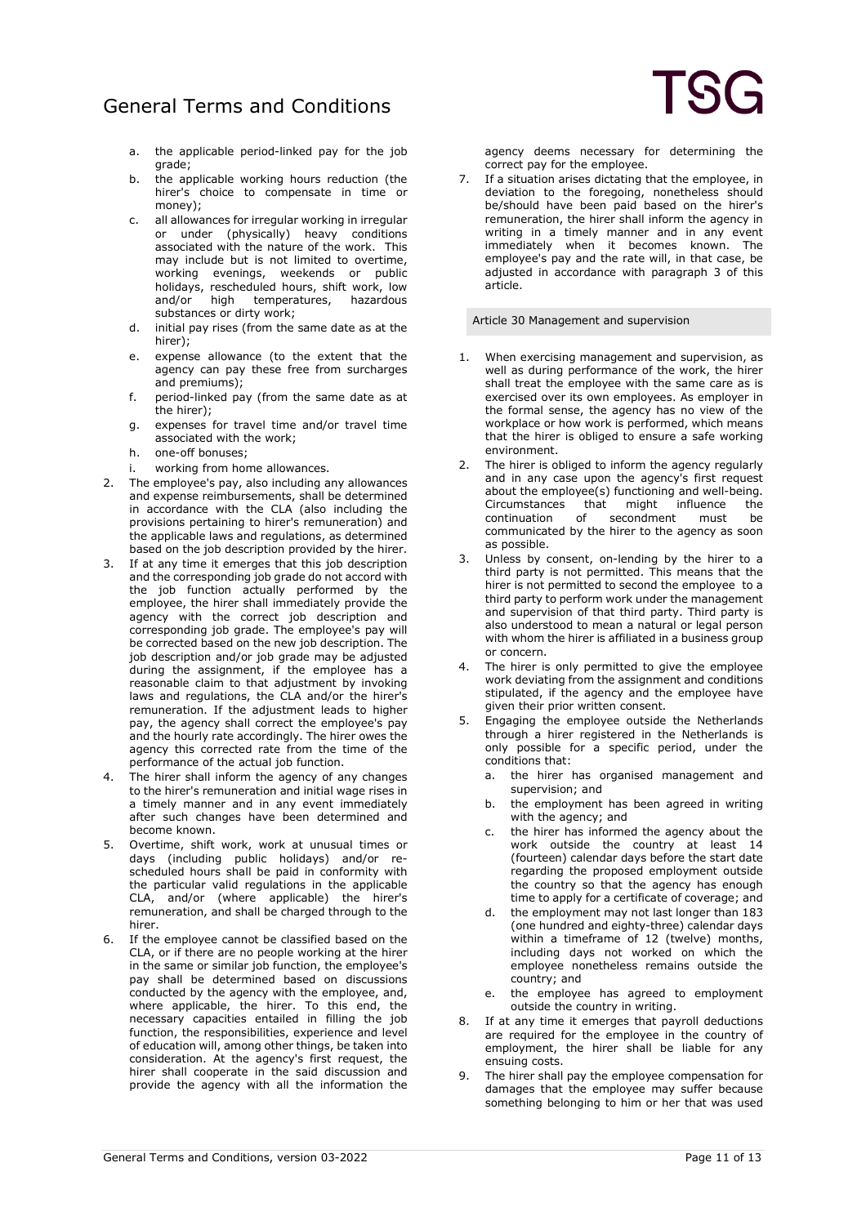- a. the applicable period-linked pay for the job grade;
- b. the applicable working hours reduction (the hirer's choice to compensate in time or money);
- c. all allowances for irregular working in irregular or under (physically) heavy conditions associated with the nature of the work. This may include but is not limited to overtime, working evenings, weekends or public holidays, rescheduled hours, shift work, low and/or high temperatures, hazardous substances or dirty work;
- d. initial pay rises (from the same date as at the hirer);
- e. expense allowance (to the extent that the agency can pay these free from surcharges and premiums);
- f. period-linked pay (from the same date as at the hirer);
- g. expenses for travel time and/or travel time associated with the work;
- h. one-off bonuses;
- i. working from home allowances.
- 2. The employee's pay, also including any allowances and expense reimbursements, shall be determined in accordance with the CLA (also including the provisions pertaining to hirer's remuneration) and the applicable laws and regulations, as determined based on the job description provided by the hirer.
- 3. If at any time it emerges that this job description and the corresponding job grade do not accord with the job function actually performed by the employee, the hirer shall immediately provide the agency with the correct job description and corresponding job grade. The employee's pay will be corrected based on the new job description. The job description and/or job grade may be adjusted during the assignment, if the employee has a reasonable claim to that adjustment by invoking laws and regulations, the CLA and/or the hirer's remuneration. If the adjustment leads to higher pay, the agency shall correct the employee's pay and the hourly rate accordingly. The hirer owes the agency this corrected rate from the time of the performance of the actual job function.
- 4. The hirer shall inform the agency of any changes to the hirer's remuneration and initial wage rises in a timely manner and in any event immediately after such changes have been determined and become known.
- 5. Overtime, shift work, work at unusual times or days (including public holidays) and/or rescheduled hours shall be paid in conformity with the particular valid regulations in the applicable CLA, and/or (where applicable) the hirer's remuneration, and shall be charged through to the hirer.
- 6. If the employee cannot be classified based on the CLA, or if there are no people working at the hirer in the same or similar job function, the employee's pay shall be determined based on discussions conducted by the agency with the employee, and, where applicable, the hirer. To this end, the necessary capacities entailed in filling the job function, the responsibilities, experience and level of education will, among other things, be taken into consideration. At the agency's first request, the hirer shall cooperate in the said discussion and provide the agency with all the information the

agency deems necessary for determining the correct pay for the employee.

7. If a situation arises dictating that the employee, in deviation to the foregoing, nonetheless should be/should have been paid based on the hirer's remuneration, the hirer shall inform the agency in writing in a timely manner and in any event immediately when it becomes known. The employee's pay and the rate will, in that case, be adjusted in accordance with paragraph 3 of this article.

Article 30 Management and supervision

- 1. When exercising management and supervision, as well as during performance of the work, the hirer shall treat the employee with the same care as is exercised over its own employees. As employer in the formal sense, the agency has no view of the workplace or how work is performed, which means that the hirer is obliged to ensure a safe working environment.
- 2. The hirer is obliged to inform the agency regularly and in any case upon the agency's first request about the employee(s) functioning and well-being. Circumstances that might influence the<br>continuation of secondment must be secondment communicated by the hirer to the agency as soon as possible.
- 3. Unless by consent, on-lending by the hirer to a third party is not permitted. This means that the hirer is not permitted to second the employee to a third party to perform work under the management and supervision of that third party. Third party is also understood to mean a natural or legal person with whom the hirer is affiliated in a business group or concern.
- 4. The hirer is only permitted to give the employee work deviating from the assignment and conditions stipulated, if the agency and the employee have given their prior written consent.
- 5. Engaging the employee outside the Netherlands through a hirer registered in the Netherlands is only possible for a specific period, under the conditions that:
	- a. the hirer has organised management and supervision; and
	- b. the employment has been agreed in writing with the agency; and
	- c. the hirer has informed the agency about the work outside the country at least 14 (fourteen) calendar days before the start date regarding the proposed employment outside the country so that the agency has enough time to apply for a certificate of coverage; and
	- d. the employment may not last longer than 183 (one hundred and eighty-three) calendar days within a timeframe of 12 (twelve) months, including days not worked on which the employee nonetheless remains outside the country; and
	- e. the employee has agreed to employment outside the country in writing.
- 8. If at any time it emerges that payroll deductions are required for the employee in the country of employment, the hirer shall be liable for any ensuing costs.
- 9. The hirer shall pay the employee compensation for damages that the employee may suffer because something belonging to him or her that was used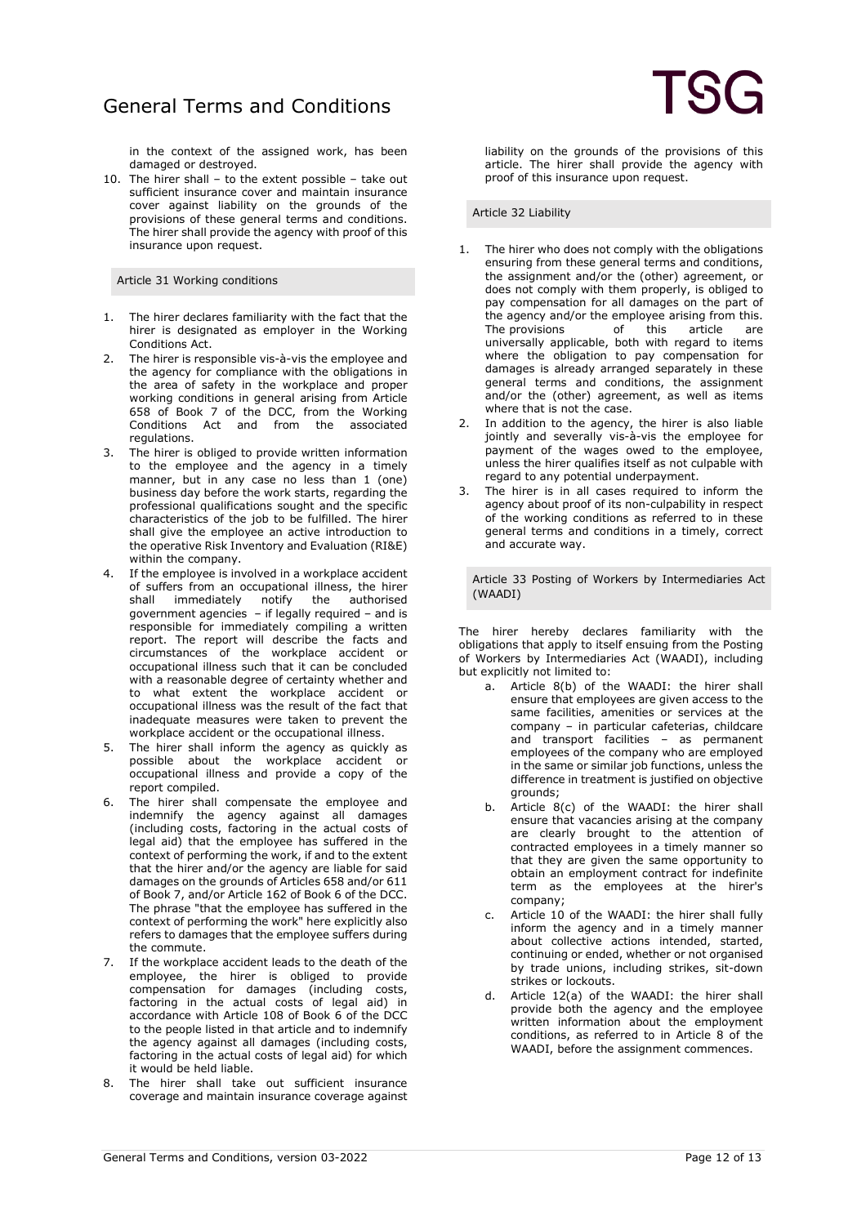in the context of the assigned work, has been damaged or destroyed.

10. The hirer shall – to the extent possible – take out sufficient insurance cover and maintain insurance cover against liability on the grounds of the provisions of these general terms and conditions. The hirer shall provide the agency with proof of this insurance upon request.

Article 31 Working conditions

- 1. The hirer declares familiarity with the fact that the hirer is designated as employer in the Working Conditions Act.
- 2. The hirer is responsible vis-à-vis the employee and the agency for compliance with the obligations in the area of safety in the workplace and proper working conditions in general arising from Article 658 of Book 7 of the DCC, from the Working Conditions Act and from the associated regulations.
- 3. The hirer is obliged to provide written information to the employee and the agency in a timely manner, but in any case no less than 1 (one) business day before the work starts, regarding the professional qualifications sought and the specific characteristics of the job to be fulfilled. The hirer shall give the employee an active introduction to the operative Risk Inventory and Evaluation (RI&E) within the company.
- 4. If the employee is involved in a workplace accident of suffers from an occupational illness, the hirer shall immediately notify the authorised government agencies – if legally required – and is responsible for immediately compiling a written report. The report will describe the facts and circumstances of the workplace accident or occupational illness such that it can be concluded with a reasonable degree of certainty whether and to what extent the workplace accident or occupational illness was the result of the fact that inadequate measures were taken to prevent the workplace accident or the occupational illness.
- 5. The hirer shall inform the agency as quickly as possible about the workplace accident or occupational illness and provide a copy of the report compiled.
- 6. The hirer shall compensate the employee and indemnify the agency against all damages (including costs, factoring in the actual costs of legal aid) that the employee has suffered in the context of performing the work, if and to the extent that the hirer and/or the agency are liable for said damages on the grounds of Articles 658 and/or 611 of Book 7, and/or Article 162 of Book 6 of the DCC. The phrase "that the employee has suffered in the context of performing the work" here explicitly also refers to damages that the employee suffers during the commute.
- 7. If the workplace accident leads to the death of the employee, the hirer is obliged to provide compensation for damages (including costs, factoring in the actual costs of legal aid) in accordance with Article 108 of Book 6 of the DCC to the people listed in that article and to indemnify the agency against all damages (including costs, factoring in the actual costs of legal aid) for which it would be held liable.
- 8. The hirer shall take out sufficient insurance coverage and maintain insurance coverage against

liability on the grounds of the provisions of this article. The hirer shall provide the agency with proof of this insurance upon request.

Article 32 Liability

- 1. The hirer who does not comply with the obligations ensuring from these general terms and conditions, the assignment and/or the (other) agreement, or does not comply with them properly, is obliged to pay compensation for all damages on the part of the agency and/or the employee arising from this.<br>The provisions of this article are The provisions of this article are universally applicable, both with regard to items where the obligation to pay compensation for damages is already arranged separately in these general terms and conditions, the assignment and/or the (other) agreement, as well as items where that is not the case.
- 2. In addition to the agency, the hirer is also liable jointly and severally vis-à-vis the employee for payment of the wages owed to the employee, unless the hirer qualifies itself as not culpable with regard to any potential underpayment.
- 3. The hirer is in all cases required to inform the agency about proof of its non-culpability in respect of the working conditions as referred to in these general terms and conditions in a timely, correct and accurate way.

Article 33 Posting of Workers by Intermediaries Act (WAADI)

The hirer hereby declares familiarity with the obligations that apply to itself ensuing from the Posting of Workers by Intermediaries Act (WAADI), including but explicitly not limited to:

- a. Article 8(b) of the WAADI: the hirer shall ensure that employees are given access to the same facilities, amenities or services at the company – in particular cafeterias, childcare and transport facilities – as permanent employees of the company who are employed in the same or similar job functions, unless the difference in treatment is justified on objective grounds;
- b. Article 8(c) of the WAADI: the hirer shall ensure that vacancies arising at the company are clearly brought to the attention of contracted employees in a timely manner so that they are given the same opportunity to obtain an employment contract for indefinite term as the employees at the hirer's company;
- c. Article 10 of the WAADI: the hirer shall fully inform the agency and in a timely manner about collective actions intended, started, continuing or ended, whether or not organised by trade unions, including strikes, sit-down strikes or lockouts.
- d. Article 12(a) of the WAADI: the hirer shall provide both the agency and the employee written information about the employment conditions, as referred to in Article 8 of the WAADI, before the assignment commences.